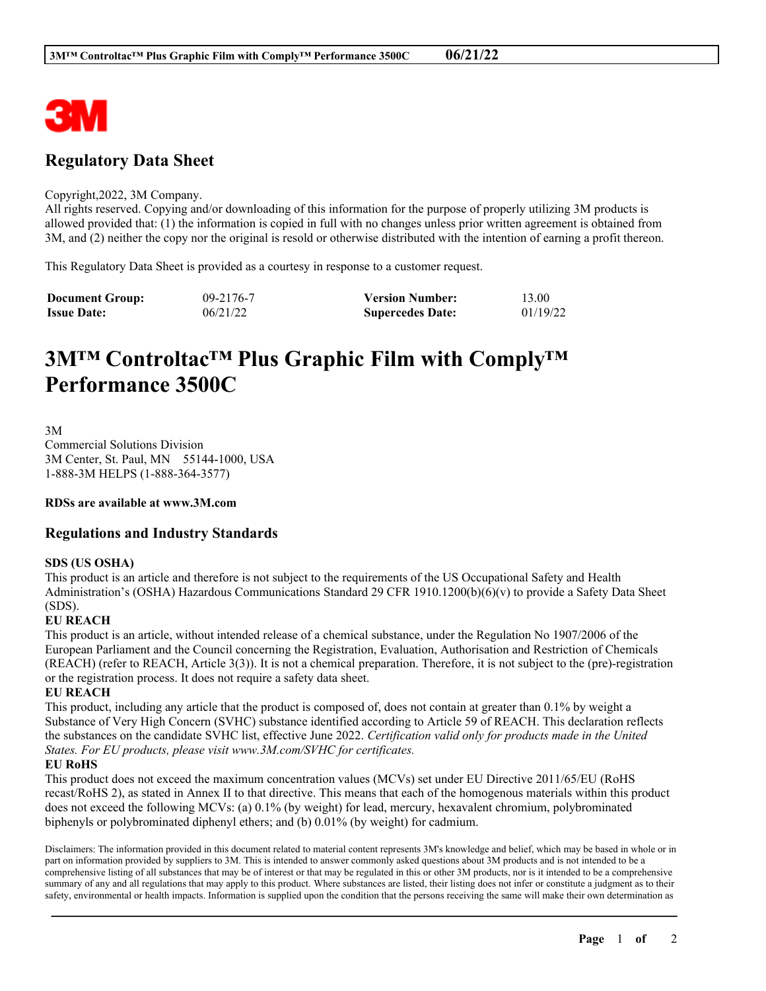

## **Regulatory Data Sheet**

#### Copyright,2022, 3M Company.

All rights reserved. Copying and/or downloading of this information for the purpose of properly utilizing 3M products is allowed provided that: (1) the information is copied in full with no changes unless prior written agreement is obtained from 3M, and (2) neither the copy nor the original is resold or otherwise distributed with the intention of earning a profit thereon.

This Regulatory Data Sheet is provided as a courtesy in response to a customer request.

| <b>Document Group:</b> | 09-2176-7 | <b>Version Number:</b>  | 13.00    |
|------------------------|-----------|-------------------------|----------|
| <b>Issue Date:</b>     | 06/21/22  | <b>Supercedes Date:</b> | 01/19/22 |

# **3M™ Controltac™ Plus Graphic Film with Comply™ Performance 3500C**

3M Commercial Solutions Division 3M Center, St. Paul, MN 55144-1000, USA 1-888-3M HELPS (1-888-364-3577)

**RDSs are available at www.3M.com**

## **Regulations and Industry Standards**

## **SDS (US OSHA)**

This product is an article and therefore is not subject to the requirements of the US Occupational Safety and Health Administration's (OSHA) Hazardous Communications Standard 29 CFR 1910.1200(b)(6)(v) to provide a Safety Data Sheet (SDS).

## **EU REACH**

This product is an article, without intended release of a chemical substance, under the Regulation No 1907/2006 of the European Parliament and the Council concerning the Registration, Evaluation, Authorisation and Restriction of Chemicals (REACH) (refer to REACH, Article 3(3)). It is not a chemical preparation. Therefore, it is not subject to the (pre)-registration or the registration process. It does not require a safety data sheet.

**EU REACH**

This product, including any article that the product is composed of, does not contain at greater than 0.1% by weight a Substance of Very High Concern (SVHC) substance identified according to Article 59 of REACH. This declaration reflects the substances on the candidate SVHC list, effective June 2022. *Certification valid only for products made in the United States. For EU products, please visit www.3M.com/SVHC for certificates.*

## **EU RoHS**

This product does not exceed the maximum concentration values (MCVs) set under EU Directive 2011/65/EU (RoHS recast/RoHS 2), as stated in Annex II to that directive. This means that each of the homogenous materials within this product does not exceed the following MCVs: (a) 0.1% (by weight) for lead, mercury, hexavalent chromium, polybrominated biphenyls or polybrominated diphenyl ethers; and (b) 0.01% (by weight) for cadmium.

Disclaimers: The information provided in this document related to material content represents 3M's knowledge and belief, which may be based in whole or in part on information provided by suppliers to 3M. This is intended to answer commonly asked questions about 3M products and is not intended to be a comprehensive listing of all substances that may be of interest or that may be regulated in this or other 3M products, nor is it intended to be a comprehensive summary of any and all regulations that may apply to this product. Where substances are listed, their listing does not infer or constitute a judgment as to their safety, environmental or health impacts. Information is supplied upon the condition that the persons receiving the same will make their own determination as

\_\_\_\_\_\_\_\_\_\_\_\_\_\_\_\_\_\_\_\_\_\_\_\_\_\_\_\_\_\_\_\_\_\_\_\_\_\_\_\_\_\_\_\_\_\_\_\_\_\_\_\_\_\_\_\_\_\_\_\_\_\_\_\_\_\_\_\_\_\_\_\_\_\_\_\_\_\_\_\_\_\_\_\_\_\_\_\_\_\_